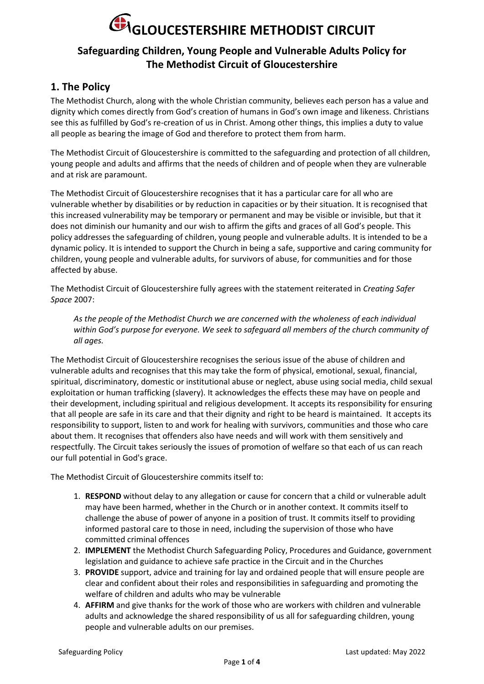### **Safeguarding Children, Young People and Vulnerable Adults Policy for The Methodist Circuit of Gloucestershire**

### **1. The Policy**

The Methodist Church, along with the whole Christian community, believes each person has a value and dignity which comes directly from God's creation of humans in God's own image and likeness. Christians see this as fulfilled by God's re-creation of us in Christ. Among other things, this implies a duty to value all people as bearing the image of God and therefore to protect them from harm.

The Methodist Circuit of Gloucestershire is committed to the safeguarding and protection of all children, young people and adults and affirms that the needs of children and of people when they are vulnerable and at risk are paramount.

The Methodist Circuit of Gloucestershire recognises that it has a particular care for all who are vulnerable whether by disabilities or by reduction in capacities or by their situation. It is recognised that this increased vulnerability may be temporary or permanent and may be visible or invisible, but that it does not diminish our humanity and our wish to affirm the gifts and graces of all God's people. This policy addresses the safeguarding of children, young people and vulnerable adults. It is intended to be a dynamic policy. It is intended to support the Church in being a safe, supportive and caring community for children, young people and vulnerable adults, for survivors of abuse, for communities and for those affected by abuse.

The Methodist Circuit of Gloucestershire fully agrees with the statement reiterated in *Creating Safer Space* 2007:

*As the people of the Methodist Church we are concerned with the wholeness of each individual within God's purpose for everyone. We seek to safeguard all members of the church community of all ages.*

The Methodist Circuit of Gloucestershire recognises the serious issue of the abuse of children and vulnerable adults and recognises that this may take the form of physical, emotional, sexual, financial, spiritual, discriminatory, domestic or institutional abuse or neglect, abuse using social media, child sexual exploitation or human trafficking (slavery). It acknowledges the effects these may have on people and their development, including spiritual and religious development. It accepts its responsibility for ensuring that all people are safe in its care and that their dignity and right to be heard is maintained. It accepts its responsibility to support, listen to and work for healing with survivors, communities and those who care about them. It recognises that offenders also have needs and will work with them sensitively and respectfully. The Circuit takes seriously the issues of promotion of welfare so that each of us can reach our full potential in God's grace.

The Methodist Circuit of Gloucestershire commits itself to:

- 1. **RESPOND** without delay to any allegation or cause for concern that a child or vulnerable adult may have been harmed, whether in the Church or in another context. It commits itself to challenge the abuse of power of anyone in a position of trust. It commits itself to providing informed pastoral care to those in need, including the supervision of those who have committed criminal offences
- 2. **IMPLEMENT** the Methodist Church Safeguarding Policy, Procedures and Guidance, government legislation and guidance to achieve safe practice in the Circuit and in the Churches
- 3. **PROVIDE** support, advice and training for lay and ordained people that will ensure people are clear and confident about their roles and responsibilities in safeguarding and promoting the welfare of children and adults who may be vulnerable
- 4. **AFFIRM** and give thanks for the work of those who are workers with children and vulnerable adults and acknowledge the shared responsibility of us all for safeguarding children, young people and vulnerable adults on our premises.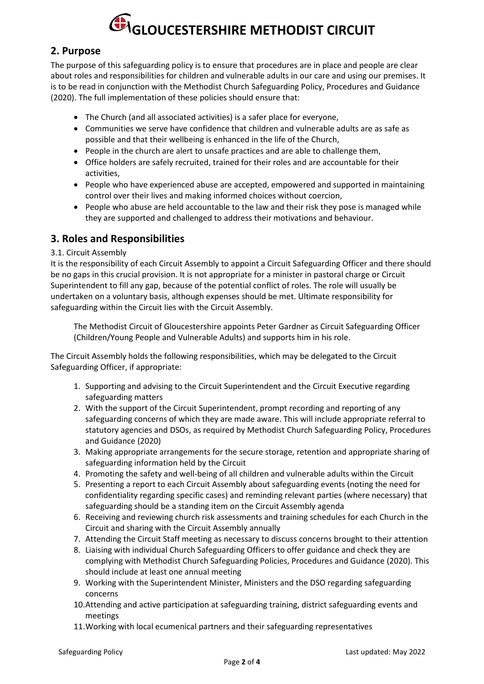### **2. Purpose**

The purpose of this safeguarding policy is to ensure that procedures are in place and people are clear about roles and responsibilities for children and vulnerable adults in our care and using our premises. It is to be read in conjunction with the Methodist Church Safeguarding Policy, Procedures and Guidance (2020). The full implementation of these policies should ensure that:

- The Church (and all associated activities) is a safer place for everyone,
- Communities we serve have confidence that children and vulnerable adults are as safe as possible and that their wellbeing is enhanced in the life of the Church,
- People in the church are alert to unsafe practices and are able to challenge them,
- Office holders are safely recruited, trained for their roles and are accountable for their activities,
- People who have experienced abuse are accepted, empowered and supported in maintaining control over their lives and making informed choices without coercion,
- People who abuse are held accountable to the law and their risk they pose is managed while they are supported and challenged to address their motivations and behaviour.

### **3. Roles and Responsibilities**

### 3.1. Circuit Assembly

It is the responsibility of each Circuit Assembly to appoint a Circuit Safeguarding Officer and there should be no gaps in this crucial provision. It is not appropriate for a minister in pastoral charge or Circuit Superintendent to fill any gap, because of the potential conflict of roles. The role will usually be undertaken on a voluntary basis, although expenses should be met. Ultimate responsibility for safeguarding within the Circuit lies with the Circuit Assembly.

The Methodist Circuit of Gloucestershire appoints Peter Gardner as Circuit Safeguarding Officer (Children/Young People and Vulnerable Adults) and supports him in his role.

The Circuit Assembly holds the following responsibilities, which may be delegated to the Circuit Safeguarding Officer, if appropriate:

- 1. Supporting and advising to the Circuit Superintendent and the Circuit Executive regarding safeguarding matters
- 2. With the support of the Circuit Superintendent, prompt recording and reporting of any safeguarding concerns of which they are made aware. This will include appropriate referral to statutory agencies and DSOs, as required by Methodist Church Safeguarding Policy, Procedures and Guidance (2020)
- 3. Making appropriate arrangements for the secure storage, retention and appropriate sharing of safeguarding information held by the Circuit
- 4. Promoting the safety and well-being of all children and vulnerable adults within the Circuit
- 5. Presenting a report to each Circuit Assembly about safeguarding events (noting the need for confidentiality regarding specific cases) and reminding relevant parties (where necessary) that safeguarding should be a standing item on the Circuit Assembly agenda
- 6. Receiving and reviewing church risk assessments and training schedules for each Church in the Circuit and sharing with the Circuit Assembly annually
- 7. Attending the Circuit Staff meeting as necessary to discuss concerns brought to their attention
- 8. Liaising with individual Church Safeguarding Officers to offer guidance and check they are complying with Methodist Church Safeguarding Policies, Procedures and Guidance (2020). This should include at least one annual meeting
- 9. Working with the Superintendent Minister, Ministers and the DSO regarding safeguarding concerns
- 10.Attending and active participation at safeguarding training, district safeguarding events and meetings
- 11.Working with local ecumenical partners and their safeguarding representatives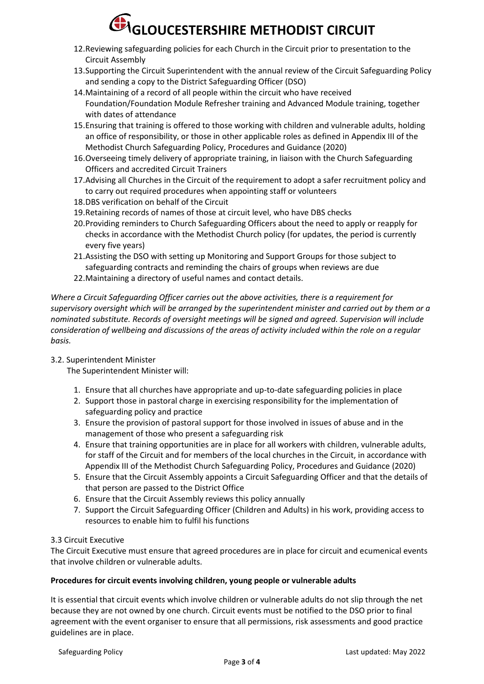- 12.Reviewing safeguarding policies for each Church in the Circuit prior to presentation to the Circuit Assembly
- 13.Supporting the Circuit Superintendent with the annual review of the Circuit Safeguarding Policy and sending a copy to the District Safeguarding Officer (DSO)
- 14.Maintaining of a record of all people within the circuit who have received Foundation/Foundation Module Refresher training and Advanced Module training, together with dates of attendance
- 15.Ensuring that training is offered to those working with children and vulnerable adults, holding an office of responsibility, or those in other applicable roles as defined in Appendix III of the Methodist Church Safeguarding Policy, Procedures and Guidance (2020)
- 16.Overseeing timely delivery of appropriate training, in liaison with the Church Safeguarding Officers and accredited Circuit Trainers
- 17.Advising all Churches in the Circuit of the requirement to adopt a safer recruitment policy and to carry out required procedures when appointing staff or volunteers
- 18.DBS verification on behalf of the Circuit
- 19.Retaining records of names of those at circuit level, who have DBS checks
- 20.Providing reminders to Church Safeguarding Officers about the need to apply or reapply for checks in accordance with the Methodist Church policy (for updates, the period is currently every five years)
- 21.Assisting the DSO with setting up Monitoring and Support Groups for those subject to safeguarding contracts and reminding the chairs of groups when reviews are due
- 22.Maintaining a directory of useful names and contact details.

*Where a Circuit Safeguarding Officer carries out the above activities, there is a requirement for supervisory oversight which will be arranged by the superintendent minister and carried out by them or a nominated substitute. Records of oversight meetings will be signed and agreed. Supervision will include consideration of wellbeing and discussions of the areas of activity included within the role on a regular basis.*

### 3.2. Superintendent Minister

The Superintendent Minister will:

- 1. Ensure that all churches have appropriate and up-to-date safeguarding policies in place
- 2. Support those in pastoral charge in exercising responsibility for the implementation of safeguarding policy and practice
- 3. Ensure the provision of pastoral support for those involved in issues of abuse and in the management of those who present a safeguarding risk
- 4. Ensure that training opportunities are in place for all workers with children, vulnerable adults, for staff of the Circuit and for members of the local churches in the Circuit, in accordance with Appendix III of the Methodist Church Safeguarding Policy, Procedures and Guidance (2020)
- 5. Ensure that the Circuit Assembly appoints a Circuit Safeguarding Officer and that the details of that person are passed to the District Office
- 6. Ensure that the Circuit Assembly reviews this policy annually
- 7. Support the Circuit Safeguarding Officer (Children and Adults) in his work, providing access to resources to enable him to fulfil his functions

### 3.3 Circuit Executive

The Circuit Executive must ensure that agreed procedures are in place for circuit and ecumenical events that involve children or vulnerable adults.

### **Procedures for circuit events involving children, young people or vulnerable adults**

It is essential that circuit events which involve children or vulnerable adults do not slip through the net because they are not owned by one church. Circuit events must be notified to the DSO prior to final agreement with the event organiser to ensure that all permissions, risk assessments and good practice guidelines are in place.